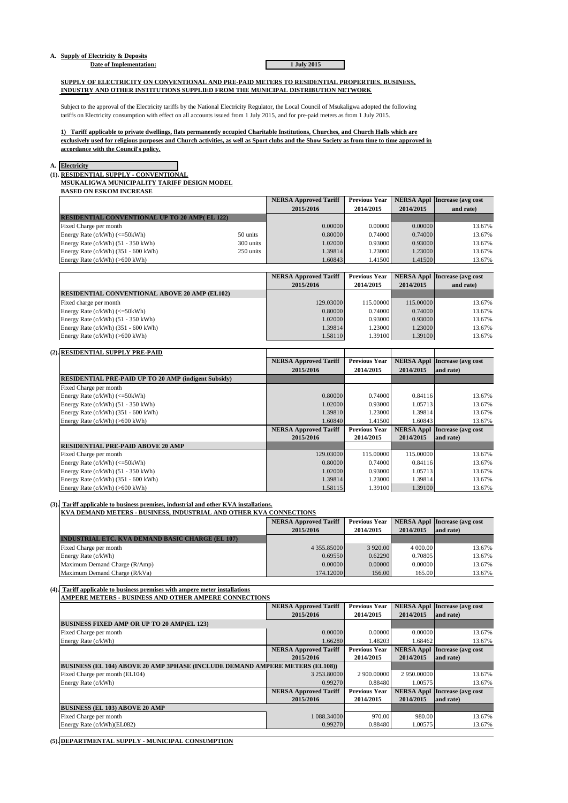# **A. Supply of Electricity & Deposits**

## **Date of Implementation: 1 July 2015**

**SUPPLY OF ELECTRICITY ON CONVENTIONAL AND PRE-PAID METERS TO RESIDENTIAL PROPERTIES, BUSINESS, INDUSTRY AND OTHER INSTITUTIONS SUPPLIED FROM THE MUNICIPAL DISTRIBUTION NETWORK**

Subject to the approval of the Electricity tariffs by the National Electricity Regulator, the Local Council of Msukaligwa adopted the following tariffs on Electricity consumption with effect on all accounts issued from 1 July 2015, and for pre-paid meters as from 1 July 2015.

**1) Tariff applicable to private dwellings, flats permanently occupied Charitable Institutions, Churches, and Church Halls which are exclusively used for religious purposes and Church activities, as well as Sport clubs and the Show Society as from time to time approved in accordance with the Council's policy.**

#### **A. Electricity**

## **(1). RESIDENTIAL SUPPLY - CONVENTIONAL**

**(2). RESIDENTIAL SUPPLY PRE-PAID**

**BASED ON ESKOM INCREASE MSUKALIGWA MUNICIPALITY TARIFF DESIGN MODEL**

|           | <b>NERSA Approved Tariff</b> | <b>Previous Year</b> |                                                     | <b>NERSA Appl Increase (avg cost)</b>                                                                      |
|-----------|------------------------------|----------------------|-----------------------------------------------------|------------------------------------------------------------------------------------------------------------|
|           | 2015/2016                    | 2014/2015            | 2014/2015                                           | and rate)                                                                                                  |
|           |                              |                      |                                                     |                                                                                                            |
|           |                              |                      |                                                     | 13.67%                                                                                                     |
| 50 units  |                              |                      |                                                     | 13.67%                                                                                                     |
| 300 units |                              |                      |                                                     | 13.67%                                                                                                     |
| 250 units |                              |                      |                                                     | 13.67%                                                                                                     |
|           |                              |                      |                                                     | 13.67%                                                                                                     |
|           |                              |                      | 0.00000<br>0.80000<br>1.02000<br>1.39814<br>1.60843 | 0.00000<br>0.00000<br>0.74000<br>0.74000<br>0.93000<br>0.93000<br>1.23000<br>1.23000<br>1.41500<br>1.41500 |

|                                                      | <b>NERSA Approved Tariff</b> | <b>Previous Year</b> |           | <b>NERSA Appl Increase (avg cost)</b> |
|------------------------------------------------------|------------------------------|----------------------|-----------|---------------------------------------|
|                                                      | 2015/2016                    | 2014/2015            | 2014/2015 | and rate)                             |
| <b>RESIDENTIAL CONVENTIONAL ABOVE 20 AMP (EL102)</b> |                              |                      |           |                                       |
| Fixed charge per month                               | 129,03000                    | 115,00000            | 115,00000 | 13.67%                                |
| Energy Rate $(c/kWh)$ $(<=50kWh)$                    | 0.80000                      | 0.74000              | 0.74000   | 13.67%                                |
| Energy Rate $(c/kWh)$ (51 - 350 kWh)                 | 1.02000                      | 0.93000              | 0.93000   | 13.67%                                |
| Energy Rate $(c/kWh)$ (351 - 600 kWh)                | 1.39814                      | 1.23000              | 1.23000   | 13.67%                                |
| Energy Rate $(c/kWh)$ (>600 kWh)                     | 1.58110                      | 1.391001             | 1.39100   | 13.67%                                |

| $-1$ |                                                             |                              |                      |           |                                       |
|------|-------------------------------------------------------------|------------------------------|----------------------|-----------|---------------------------------------|
|      |                                                             | <b>NERSA Approved Tariff</b> | <b>Previous Year</b> |           | <b>NERSA Appl Increase (avg cost)</b> |
|      |                                                             | 2015/2016                    | 2014/2015            | 2014/2015 | and rate)                             |
|      | <b>RESIDENTIAL PRE-PAID UP TO 20 AMP (indigent Subsidy)</b> |                              |                      |           |                                       |
|      | Fixed Charge per month                                      |                              |                      |           |                                       |
|      | Energy Rate $(c/kWh)$ $(<=50kWh)$                           | 0.80000                      | 0.74000              | 0.84116   | 13.67%                                |
|      | Energy Rate $(c/kWh)$ (51 - 350 kWh)                        | 1.02000                      | 0.93000              | 1.05713   | 13.67%                                |
|      | Energy Rate $(c/kWh)$ (351 - 600 kWh)                       | 1.39810                      | 1.23000              | 1.39814   | 13.67%                                |
|      | Energy Rate $(c/kWh)$ (>600 kWh)                            | 1.60840                      | 1.41500              | 1.60843   | 13.67%                                |

| EHEIGY NAUC (C/KWH) (2000 KWH)           | 1.00040                      | 1.413001             |           | 12.0770                               |
|------------------------------------------|------------------------------|----------------------|-----------|---------------------------------------|
|                                          | <b>NERSA Approved Tariff</b> | <b>Previous Year</b> |           | <b>NERSA Appl Increase (avg cost)</b> |
|                                          | 2015/2016                    | 2014/2015            | 2014/2015 | and rate)                             |
| <b>RESIDENTIAL PRE-PAID ABOVE 20 AMP</b> |                              |                      |           |                                       |
| Fixed Charge per month                   | 129.03000                    | 115.00000            | 115,00000 | 13.67%                                |
| Energy Rate $(c/kWh)$ $(<=50kWh)$        | 0.80000                      | 0.74000              | 0.84116   | 13.67%                                |
| Energy Rate (c/kWh) (51 - 350 kWh)       | 1.02000                      | 0.93000              | 1.05713   | 13.67%                                |
| Energy Rate $(c/kWh)$ (351 - 600 kWh)    | 1.39814                      | 1.23000              | 1.39814   | 13.67%                                |
| Energy Rate $(c/kWh)$ (>600 kWh)         | 1.58115                      | 1.39100              | 1.39100   | 13.67%                                |

## **(3). Tariff applicable to business premises, industrial and other KVA installations.**

**KVA DEMAND METERS - BUSINESS, INDUSTRIAL AND OTHER KVA CONNECTIONS**

|                                                         | <b>NERSA Approved Tariff</b> | <b>Previous Year</b> |           | <b>NERSA Appl Increase (avg cost)</b> |
|---------------------------------------------------------|------------------------------|----------------------|-----------|---------------------------------------|
|                                                         | 2015/2016                    | 2014/2015            | 2014/2015 | and rate)                             |
| <b>INDUSTRIAL ETC. KVA DEMAND BASIC CHARGE (EL 107)</b> |                              |                      |           |                                       |
| Fixed Charge per month                                  | 4 3 5 5 8 5 0 0 0 1          | 3 9 20 00            | 4 000,00  | 13.67%                                |
| Energy Rate (c/kWh)                                     | 0.69550                      | 0.62290              | 0.70805   | 13.67%                                |
| Maximum Demand Charge (R/Amp)                           | 0.00000                      | 0.00000              | 0.00000   | 13.67%                                |
| Maximum Demand Charge (R/kVa)                           | 174.12000                    | 156.00               | 165.00    | 13.67%                                |

### **(4). Tariff applicable to business premises with ampere meter installations**

**AMPERE METERS - BUSINESS AND OTHER AMPERE CONNECTIONS NERSA Approved Tariff Previous Year NERSA Appl Increase (avg cost 2015/2016 2014/2015 2014/2015 and rate) BUSINESS FIXED AMP OR UP TO 20 AMP(EL 123)** Fixed Charge per month 13.67% **0.00000** 0.00000 0.00000 0.00000 0.00000 13.67% Energy Rate (c/kWh) 1.68462 13.67% 1.48203 1.68462 1.68462 1.68462 1.68462 1.68462 1.68462 1.68462 1.68462 1.68462 1.68462 1.68462 1.68462 1.68462 1.68462 1.68462 1.68462 1.68462 1.68462 1.68462 1.68462 1.68462 1.68462 1.6 **NERSA Approved Tariff Previous Year NERSA Appl Increase (avg cost 2015/2016 2014/2015 2014/2015 and rate) BUSINESS (EL 104) ABOVE 20 AMP 3PHASE (INCLUDE DEMAND AMPERE METERS (EL108))**<br>Fixed Charge per month (EL104) **1996** 3 253.8000 Fixed Charge per month (EL104) 3 253.80000 2 900.00000 2 950.00000 13.67% Energy Rate (c/kWh) 1.00575 13.67% 1.00575 1.00575 1.00575 1.00575 1.00575 1.00575 1.00575 1.00575 1.00575 1.00575 1.00575 1.00575 1.00575 1.00575 1.00575 1.00575 1.00575 1.00575 1.00575 1.00575 1.00575 1.00575 1.00575 1.0 **NERSA Approved Tariff Previous Year NERSA Appl Increase (avg cost 2015/2016 2014/2015 2014/2015 and rate) BUSINESS (EL 103) ABOVE 20 AMP** Fixed Charge per month 1 088.34000 970.00 980.00 980.00 13.67% Energy Rate (c/kWh)(EL082) 13.67% 13.67% 13.67% 13.67% 1.00575 1.00575 1.00575 1.00575 1.00575 1.00575 1.00575

**(5). DEPARTMENTAL SUPPLY - MUNICIPAL CONSUMPTION**